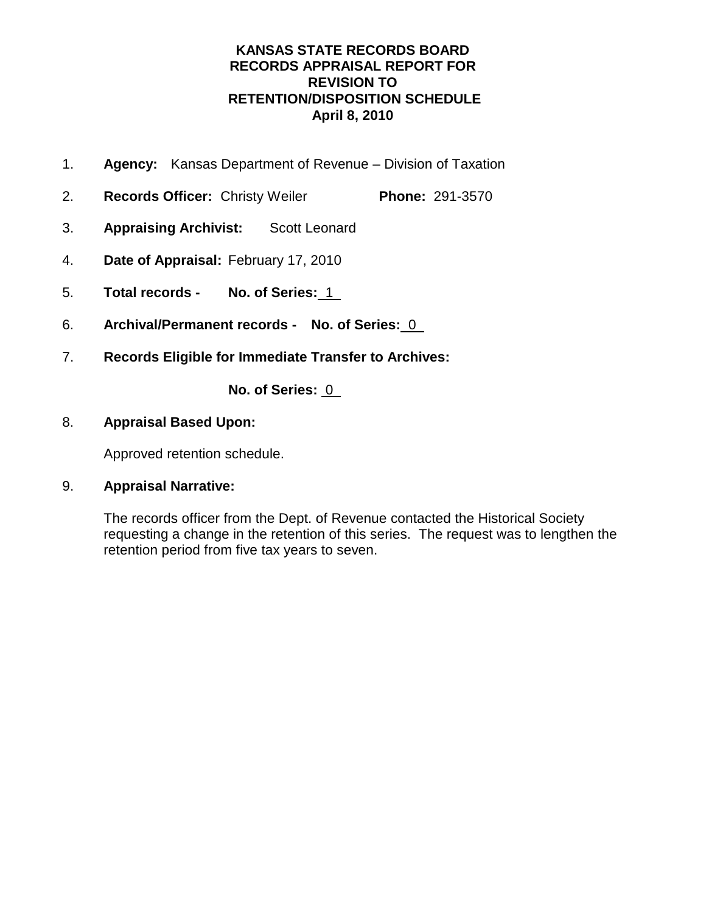- 1. **Agency:** Kansas Department of Revenue Division of Taxation
- 2. **Records Officer:** Christy Weiler **Phone:** 291-3570
- 3. **Appraising Archivist:** Scott Leonard
- 4. **Date of Appraisal:** February 17, 2010
- 5. **Total records No. of Series:** 1
- 6. **Archival/Permanent records No. of Series:** 0
- 7. **Records Eligible for Immediate Transfer to Archives:**

**No. of Series:** 0

### 8. **Appraisal Based Upon:**

Approved retention schedule.

### 9. **Appraisal Narrative:**

The records officer from the Dept. of Revenue contacted the Historical Society requesting a change in the retention of this series. The request was to lengthen the retention period from five tax years to seven.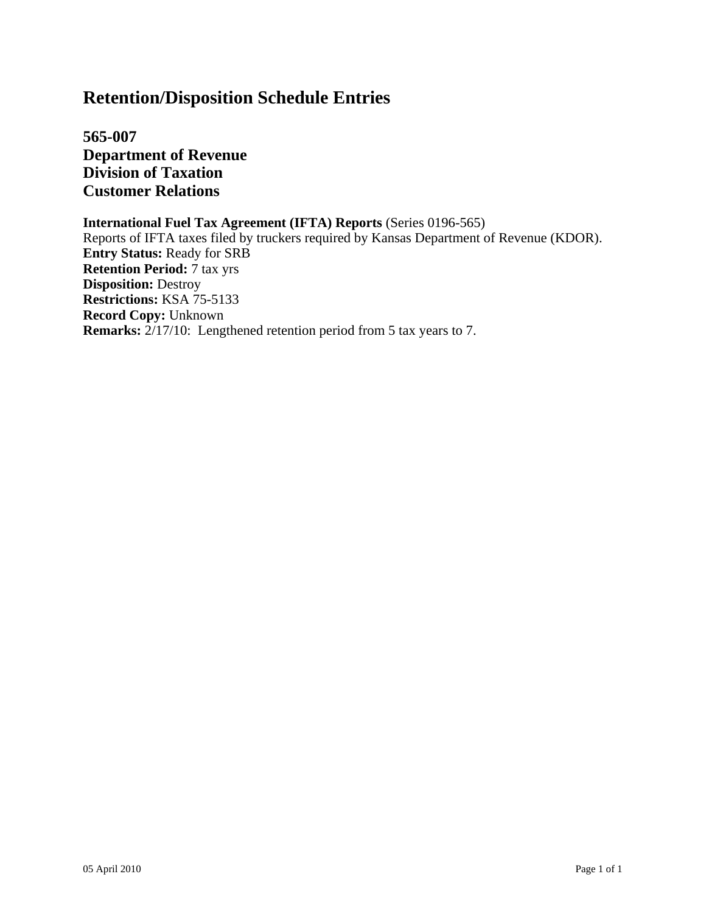**565-007 Department of Revenue Division of Taxation Customer Relations**

#### **International Fuel Tax Agreement (IFTA) Reports** (Series 0196-565) Reports of IFTA taxes filed by truckers required by Kansas Department of Revenue (KDOR).

**Entry Status:** Ready for SRB **Retention Period:** 7 tax yrs **Disposition:** Destroy **Restrictions:** KSA 75-5133 **Record Copy:** Unknown **Remarks:** 2/17/10: Lengthened retention period from 5 tax years to 7.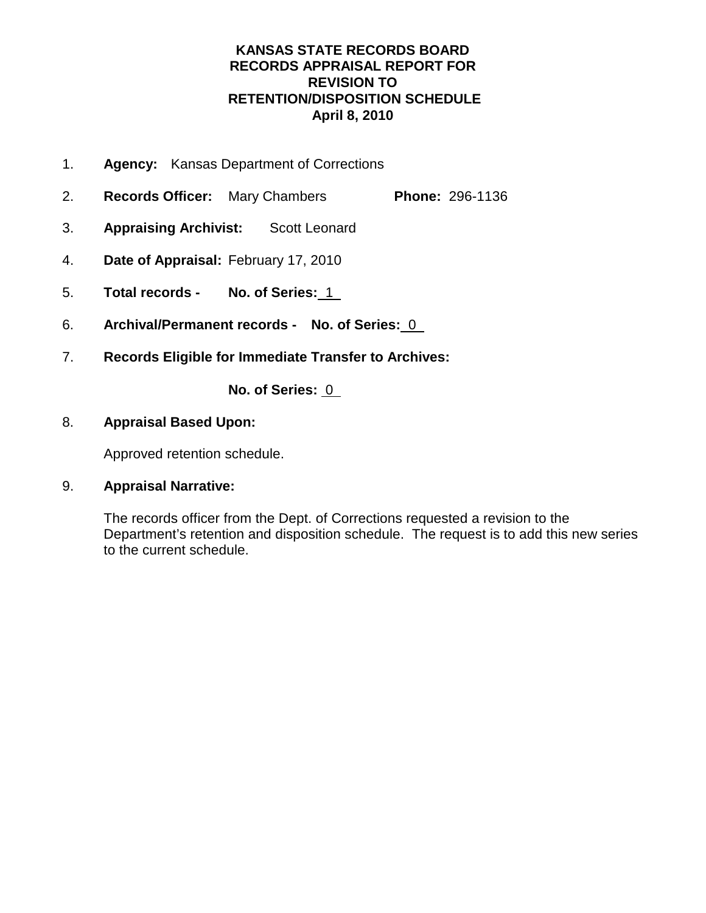- 1. **Agency:** Kansas Department of Corrections
- 2. **Records Officer:** Mary Chambers **Phone:** 296-1136
- 3. **Appraising Archivist:** Scott Leonard
- 4. **Date of Appraisal:** February 17, 2010
- 5. **Total records No. of Series:** 1
- 6. **Archival/Permanent records No. of Series:** 0
- 7. **Records Eligible for Immediate Transfer to Archives:**

**No. of Series:** 0

### 8. **Appraisal Based Upon:**

Approved retention schedule.

### 9. **Appraisal Narrative:**

The records officer from the Dept. of Corrections requested a revision to the Department's retention and disposition schedule. The request is to add this new series to the current schedule.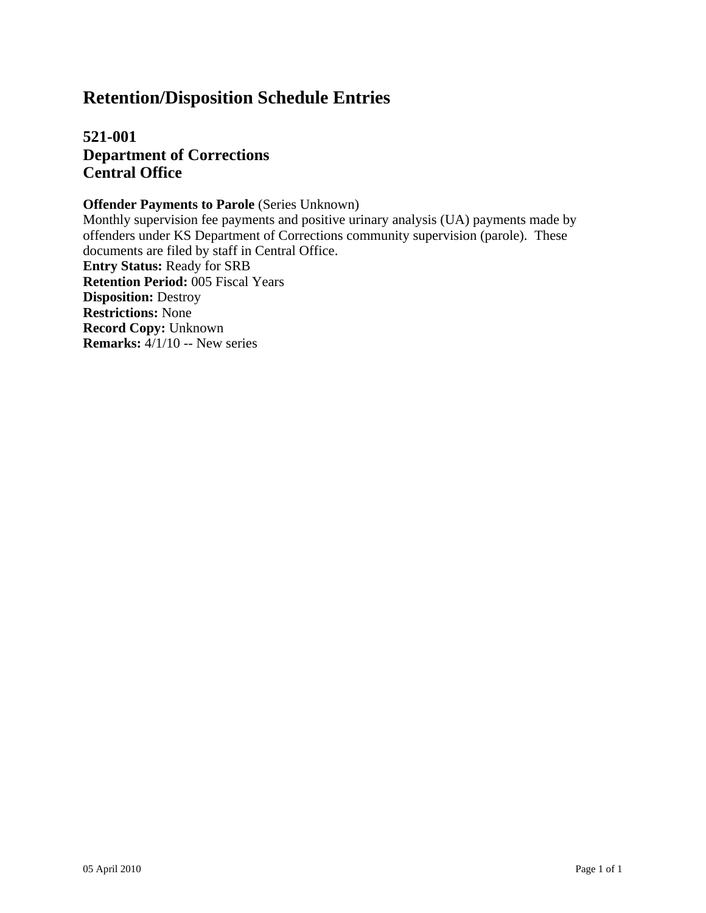**521-001 Department of Corrections Central Office**

**Offender Payments to Parole** (Series Unknown)

Monthly supervision fee payments and positive urinary analysis (UA) payments made by offenders under KS Department of Corrections community supervision (parole). These documents are filed by staff in Central Office. **Entry Status:** Ready for SRB **Retention Period:** 005 Fiscal Years **Disposition:** Destroy **Restrictions:** None **Record Copy:** Unknown **Remarks:** 4/1/10 -- New series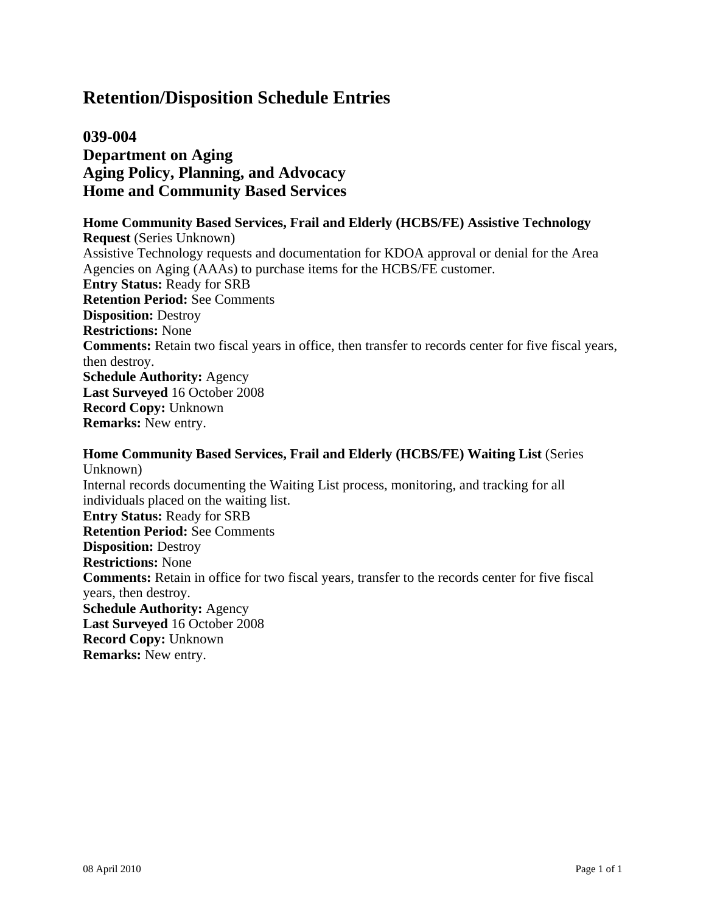## **039-004 Department on Aging Aging Policy, Planning, and Advocacy Home and Community Based Services**

**Home Community Based Services, Frail and Elderly (HCBS/FE) Assistive Technology Request** (Series Unknown) Assistive Technology requests and documentation for KDOA approval or denial for the Area Agencies on Aging (AAAs) to purchase items for the HCBS/FE customer. **Entry Status:** Ready for SRB **Retention Period:** See Comments **Disposition:** Destroy **Restrictions:** None **Comments:** Retain two fiscal years in office, then transfer to records center for five fiscal years, then destroy. **Schedule Authority:** Agency **Last Surveyed** 16 October 2008 **Record Copy:** Unknown **Remarks:** New entry.

**Home Community Based Services, Frail and Elderly (HCBS/FE) Waiting List** (Series Unknown) Internal records documenting the Waiting List process, monitoring, and tracking for all individuals placed on the waiting list. **Entry Status:** Ready for SRB **Retention Period:** See Comments **Disposition:** Destroy **Restrictions:** None **Comments:** Retain in office for two fiscal years, transfer to the records center for five fiscal years, then destroy. **Schedule Authority:** Agency **Last Surveyed** 16 October 2008 **Record Copy:** Unknown **Remarks:** New entry.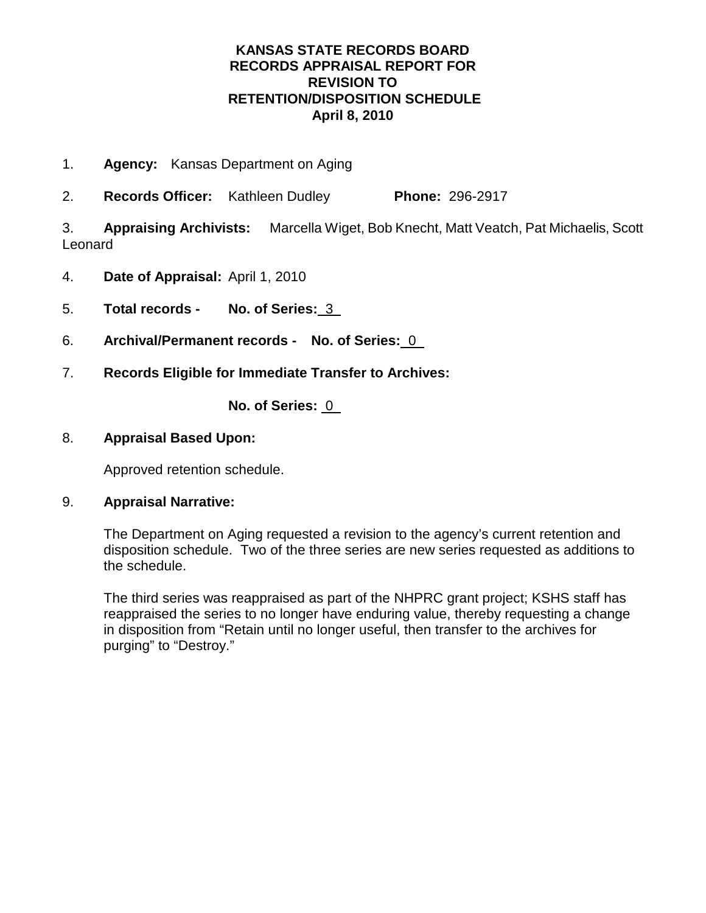- 1. **Agency:** Kansas Department on Aging
- 2. **Records Officer:** Kathleen Dudley **Phone:** 296-2917

3. **Appraising Archivists:** Marcella Wiget, Bob Knecht, Matt Veatch, Pat Michaelis, Scott Leonard

- 4. **Date of Appraisal:** April 1, 2010
- 5. **Total records No. of Series:** 3
- 6. **Archival/Permanent records No. of Series:** 0
- 7. **Records Eligible for Immediate Transfer to Archives:**

**No. of Series:** 0

### 8. **Appraisal Based Upon:**

Approved retention schedule.

### 9. **Appraisal Narrative:**

The Department on Aging requested a revision to the agency's current retention and disposition schedule. Two of the three series are new series requested as additions to the schedule.

The third series was reappraised as part of the NHPRC grant project; KSHS staff has reappraised the series to no longer have enduring value, thereby requesting a change in disposition from "Retain until no longer useful, then transfer to the archives for purging" to "Destroy."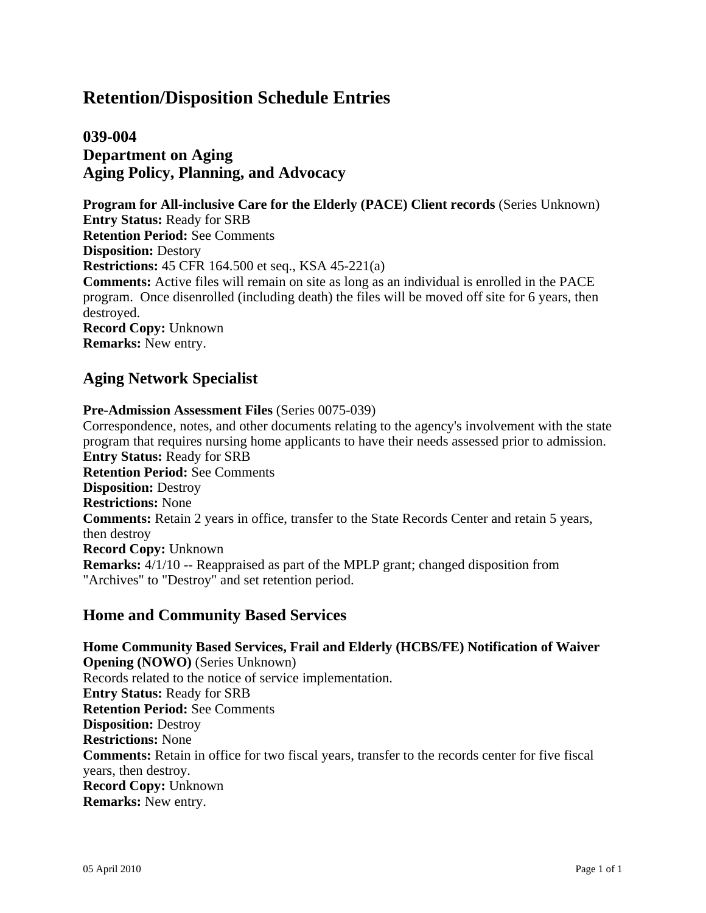## **039-004 Department on Aging Aging Policy, Planning, and Advocacy**

**Program for All-inclusive Care for the Elderly (PACE) Client records** (Series Unknown) **Entry Status:** Ready for SRB **Retention Period:** See Comments **Disposition:** Destory **Restrictions:** 45 CFR 164.500 et seq., KSA 45-221(a) **Comments:** Active files will remain on site as long as an individual is enrolled in the PACE program. Once disenrolled (including death) the files will be moved off site for 6 years, then destroyed. **Record Copy:** Unknown **Remarks:** New entry.

## **Aging Network Specialist**

#### **Pre-Admission Assessment Files** (Series 0075-039) Correspondence, notes, and other documents relating to the agency's involvement with the state program that requires nursing home applicants to have their needs assessed prior to admission. **Entry Status:** Ready for SRB **Retention Period:** See Comments **Disposition:** Destroy **Restrictions:** None **Comments:** Retain 2 years in office, transfer to the State Records Center and retain 5 years, then destroy **Record Copy:** Unknown **Remarks:** 4/1/10 -- Reappraised as part of the MPLP grant; changed disposition from "Archives" to "Destroy" and set retention period.

### **Home and Community Based Services**

**Home Community Based Services, Frail and Elderly (HCBS/FE) Notification of Waiver Opening (NOWO)** (Series Unknown) Records related to the notice of service implementation. **Entry Status:** Ready for SRB **Retention Period:** See Comments **Disposition:** Destroy **Restrictions:** None **Comments:** Retain in office for two fiscal years, transfer to the records center for five fiscal years, then destroy. **Record Copy:** Unknown **Remarks:** New entry.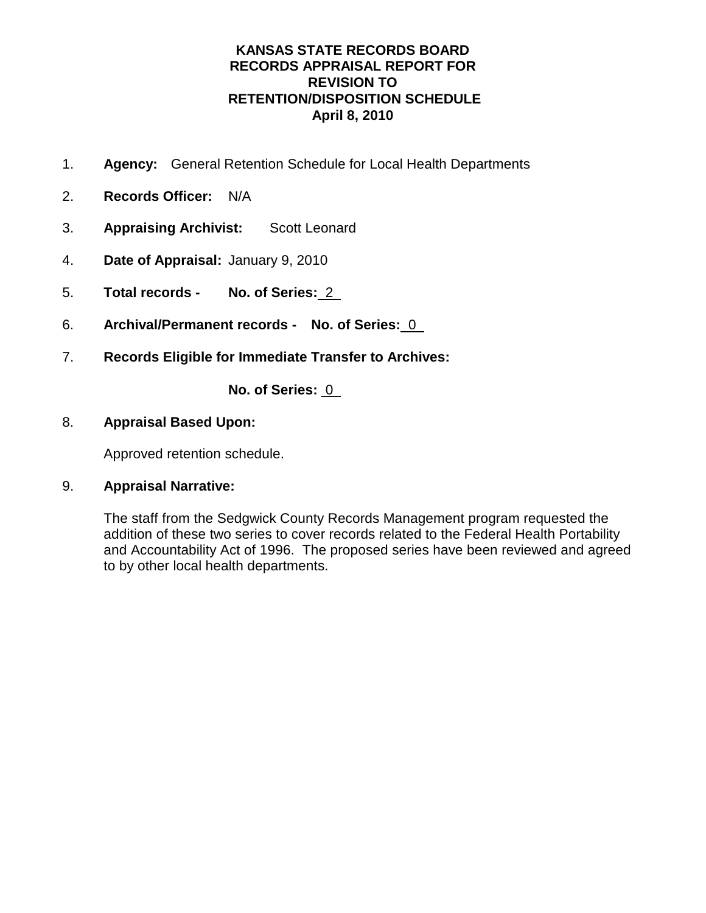- 1. **Agency:** General Retention Schedule for Local Health Departments
- 2. **Records Officer:** N/A
- 3. **Appraising Archivist:** Scott Leonard
- 4. **Date of Appraisal:** January 9, 2010
- 5. **Total records No. of Series:** 2
- 6. **Archival/Permanent records No. of Series:** 0
- 7. **Records Eligible for Immediate Transfer to Archives:**

**No. of Series:** 0

### 8. **Appraisal Based Upon:**

Approved retention schedule.

### 9. **Appraisal Narrative:**

The staff from the Sedgwick County Records Management program requested the addition of these two series to cover records related to the Federal Health Portability and Accountability Act of 1996. The proposed series have been reviewed and agreed to by other local health departments.